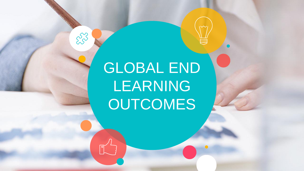# GLOBAL END LEARNING **OUTCOMES**

553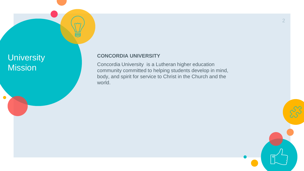## **University Mission**

 $\bullet$ 

#### **CONCORDIA UNIVERSITY**

Concordia University is a Lutheran higher education community committed to helping students develop in mind, body, and spirit for service to Christ in the Church and the world.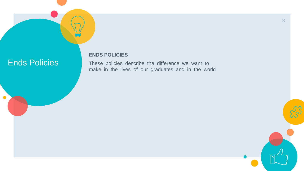## Ends Policies

 $\bullet$ 

**ENDS POLICIES**

These policies describe the difference we want to make in the lives of our graduates and in the world

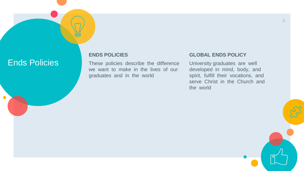### Ends Policies

 $\bullet$ 

#### **ENDS POLICIES**

These policies describe the difference we want to make in the lives of our graduates and in the world

#### **GLOBAL ENDS POLICY**

University graduates are well developed in mind, body, and spirit, fulfill their vocations, and serve Christ in the Church and the world

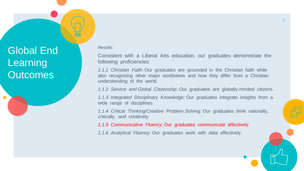Global End Learning **Outcomes** 

*Results:*

Consistent with a Liberal Arts education, our graduates demonstrate the following proficiencies:

*1.1.1 Christian Faith:* Our graduates are grounded in the Christian faith while also recognizing other major worldviews and how they differ from a Christian understanding of the world.

*1.1.2 Service and Global Citizenship:* Our graduates are globally-minded citizens.

*1.1.3 Integrated Disciplinary Knowledge:* Our graduates integrate insights from a wide range of disciplines.

*1.1.4 Critical Thinking/Creative Problem Solving:* Our graduates think rationally, critically, and creatively.

*1.1.5 Communicative Fluency:* Our graduates communicate effectively.

*1.1.6 Analytical Fluency:* Our graduates work with data effectively.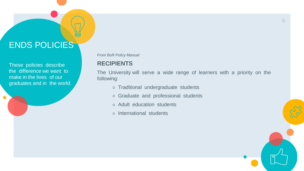## ENDS POLICIES

These policies describe the difference we want to make in the lives of our graduates and in the world.

 $\bullet$ 

*From BoR Policy Manual:*

### **RECIPIENTS**

The University will serve a wide range of learners with a priority on the following:

- Traditional undergraduate students
- Graduate and professional students
- Adult education students
- International students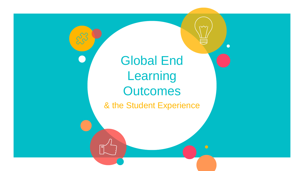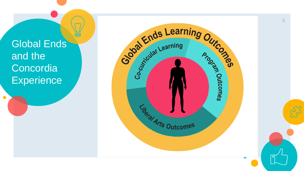Global Ends and the **Concordia Experience** 

 $\bullet$ 

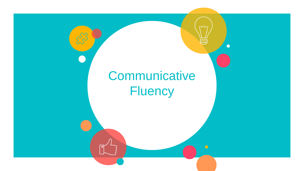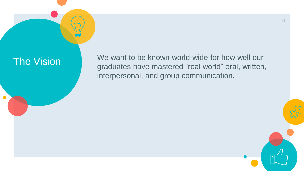$\bullet$ 

The Vision We want to be known world-wide for how well our graduates have mastered "real world" oral, written, interpersonal, and group communication.

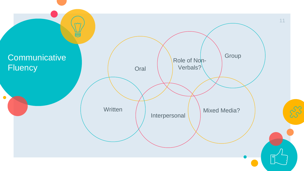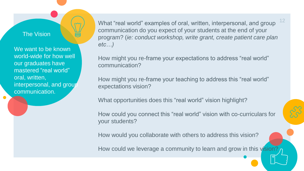#### The Vision

We want to be known world-wide for how well our graduates have mastered "real world" oral, written, interpersonal, and group communication.

What "real world" examples of oral, written, interpersonal, and group communication do you expect of your students at the end of your program? (*ie: conduct workshop, write grant, create patient care plan etc…)* 12

How might you re-frame your expectations to address "real world" communication?

How might you re-frame your teaching to address this "real world" expectations vision?

What opportunities does this "real world" vision highlight?

How could you connect this "real world" vision with co-curriculars for your students?

How would you collaborate with others to address this vision?

How could we leverage a community to learn and grow in this vision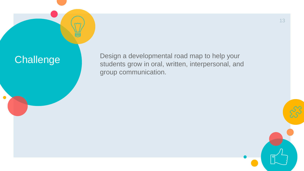## **Challenge**

 $\bullet$ 

Design a developmental road map to help your students grow in oral, written, interpersonal, and group communication.